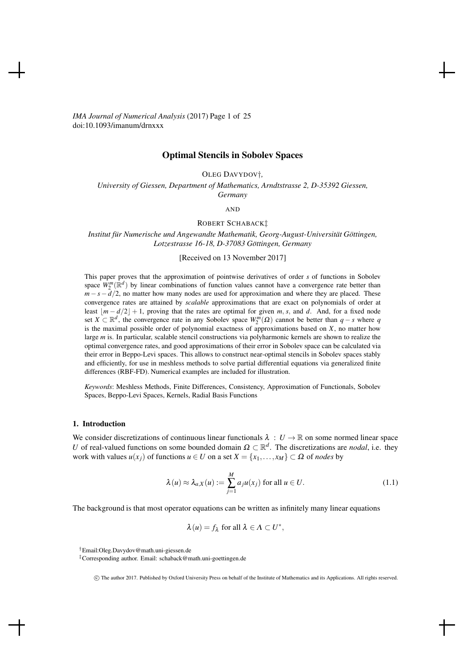*IMA Journal of Numerical Analysis* (2017) Page 1 of 25 doi:10.1093/imanum/drnxxx

# Optimal Stencils in Sobolev Spaces

OLEG DAVYDOV†*,*

*University of Giessen, Department of Mathematics, Arndtstrasse 2, D-35392 Giessen, Germany*

AND

#### ROBERT SCHABACK‡

*Institut fur Numerische und Angewandte Mathematik, Georg-August-Un ¨ iversitat G ¨ ottingen, ¨ Lotzestrasse 16-18, D-37083 Gottingen, Germany ¨*

[Received on 13 November 2017]

This paper proves that the approximation of pointwise derivatives of order *s* of functions in Sobolev space  $W_2^m(\mathbb{R}^d)$  by linear combinations of function values cannot have a convergence rate better than  $m - s - d/2$ , no matter how many nodes are used for approximation and where they are placed. These convergence rates are attained by *scalable* approximations that are exact on polynomials of order at least  $|m-d/2|+1$ , proving that the rates are optimal for given *m*, *s*, and *d*. And, for a fixed node set *X*  $\subset \mathbb{R}^d$ , the convergence rate in any Sobolev space  $W_2^m(\Omega)$  cannot be better than  $q-s$  where *q* is the maximal possible order of polynomial exactness of approximations based on *X*, no matter how large *m* is. In particular, scalable stencil constructions via polyharmonic kernels are shown to realize the optimal convergence rates, and good approximations of their error in Sobolev space can be calculated via their error in Beppo-Levi spaces. This allows to construct near-optimal stencils in Sobolev spaces stably and efficiently, for use in meshless methods to solve partial differential equations via generalized finite differences (RBF-FD). Numerical examples are included for illustration.

*Keywords*: Meshless Methods, Finite Differences, Consistency, Approximation of Functionals, Sobolev Spaces, Beppo-Levi Spaces, Kernels, Radial Basis Functions

#### 1. Introduction

We consider discretizations of continuous linear functionals  $\lambda : U \to \mathbb{R}$  on some normed linear space *U* of real-valued functions on some bounded domain  $\Omega \subset \mathbb{R}^d$ . The discretizations are *nodal*, i.e. they work with values  $u(x_i)$  of functions  $u \in U$  on a set  $X = \{x_1, \ldots, x_M\} \subset \Omega$  of *nodes* by

$$
\lambda(u) \approx \lambda_{a,X}(u) := \sum_{j=1}^{M} a_j u(x_j) \text{ for all } u \in U.
$$
 (1.1)

The background is that most operator equations can be written as infinitely many linear equations

$$
\lambda(u) = f_{\lambda} \text{ for all } \lambda \in \Lambda \subset U^*,
$$

†Email:Oleg.Davydov@math.uni-giessen.de

c The author 2017. Published by Oxford University Press on behalf of the Institute of Mathematics and its Applications. All rights reserved.

<sup>‡</sup>Corresponding author. Email: schaback@math.uni-goettingen.de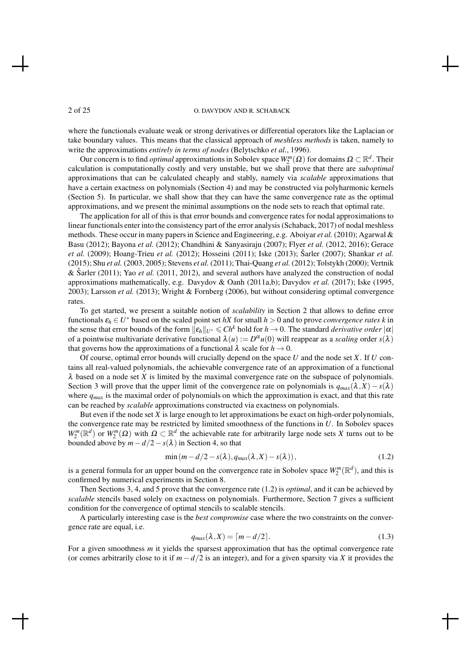where the functionals evaluate weak or strong derivatives or differential operators like the Laplacian or take boundary values. This means that the classical approach of *meshless methods* is taken, namely to write the approximations *entirely in terms of nodes* (Belytschko *et al.*, 1996).

Our concern is to find *optimal* approximations in Sobolev space  $W_2^m(\Omega)$  for domains  $\Omega \subset \mathbb{R}^d$ . Their calculation is computationally costly and very unstable, but we shall prove that there are *suboptimal* approximations that can be calculated cheaply and stably, namely via *scalable* approximations that have a certain exactness on polynomials (Section 4) and may be constructed via polyharmonic kernels (Section 5). In particular, we shall show that they can have the same convergence rate as the optimal approximations, and we present the minimal assumptions on the node sets to reach that optimal rate.

The application for all of this is that error bounds and convergence rates for nodal approximations to linear functionals enter into the consistency part of the error analysis (Schaback, 2017) of nodal meshless methods. These occur in many papers in Science and Engineering, e.g. Aboiyar *et al.* (2010); Agarwal & Basu (2012); Bayona *et al.* (2012); Chandhini & Sanyasiraju (2007); Flyer *et al.* (2012, 2016); Gerace *et al.* (2009); Hoang-Trieu *et al.* (2012); Hosseini (2011); Iske (2013); Šarler (2007); Shankar *et al.* (2015); Shu *et al.* (2003, 2005); Stevens *et al.* (2011); Thai-Quang *et al.* (2012); Tolstykh (2000); Vertnik & Sarler (2011); Yao *et al.* (2011, 2012), and several authors have analyzed the construction of nodal approximations mathematically, e.g. Davydov & Oanh (2011a,b); Davydov *et al.* (2017); Iske (1995, 2003); Larsson *et al.* (2013); Wright & Fornberg (2006), but without considering optimal convergence rates.

To get started, we present a suitable notion of *scalability* in Section 2 that allows to define error functionals  $\varepsilon_h \in U^*$  based on the scaled point set *hX* for small  $h > 0$  and to prove *convergence rates k* in the sense that error bounds of the form  $||\varepsilon_h||_{U^*} \le Ch^k$  hold for  $h \to 0$ . The standard *derivative order*  $|\alpha|$ of a pointwise multivariate derivative functional  $\lambda(u) := D^{\alpha}u(0)$  will reappear as a *scaling* order  $s(\lambda)$ that governs how the approximations of a functional  $\lambda$  scale for  $h \to 0$ .

Of course, optimal error bounds will crucially depend on the space *U* and the node set *X*. If *U* contains all real-valued polynomials, the achievable convergence rate of an approximation of a functional  $\lambda$  based on a node set *X* is limited by the maximal convergence rate on the subspace of polynomials. Section 3 will prove that the upper limit of the convergence rate on polynomials is  $q_{max}(\lambda, X) - s(\lambda)$ where  $q_{max}$  is the maximal order of polynomials on which the approximation is exact, and that this rate can be reached by *scalable* approximations constructed via exactness on polynomials.

But even if the node set *X* is large enough to let approximations be exact on high-order polynomials, the convergence rate may be restricted by limited smoothness of the functions in *U*. In Sobolev spaces  $W_2^m(\mathbb{R}^d)$  or  $W_2^m(\Omega)$  with  $\Omega \subset \mathbb{R}^d$  the achievable rate for arbitrarily large node sets *X* turns out to be bounded above by  $m - d/2 - s(\lambda)$  in Section 4, so that

$$
\min(m - d/2 - s(\lambda), q_{max}(\lambda, X) - s(\lambda)), \qquad (1.2)
$$

is a general formula for an upper bound on the convergence rate in Sobolev space  $W_2^m(\mathbb{R}^d)$ , and this is confirmed by numerical experiments in Section 8.

Then Sections 3, 4, and 5 prove that the convergence rate (1.2) is *optimal*, and it can be achieved by *scalable* stencils based solely on exactness on polynomials. Furthermore, Section 7 gives a sufficient condition for the convergence of optimal stencils to scalable stencils.

A particularly interesting case is the *best compromise* case where the two constraints on the convergence rate are equal, i.e.

$$
q_{max}(\lambda, X) = \lceil m - d/2 \rceil. \tag{1.3}
$$

For a given smoothness *m* it yields the sparsest approximation that has the optimal convergence rate (or comes arbitrarily close to it if  $m - d/2$  is an integer), and for a given sparsity via *X* it provides the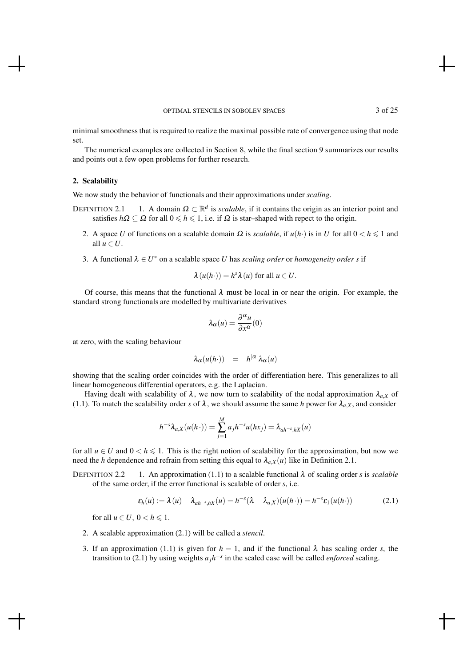minimal smoothness that is required to realize the maximal possible rate of convergence using that node set.

The numerical examples are collected in Section 8, while the final section 9 summarizes our results and points out a few open problems for further research.

#### 2. Scalability

We now study the behavior of functionals and their approximations under *scaling*.

- DEFINITION 2.1 1. A domain  $\Omega \subset \mathbb{R}^d$  is *scalable*, if it contains the origin as an interior point and satisfies  $h\Omega \subseteq \Omega$  for all  $0 \le h \le 1$ , i.e. if  $\Omega$  is star-shaped with repect to the origin.
	- 2. A space *U* of functions on a scalable domain  $\Omega$  is *scalable*, if  $u(h \cdot)$  is in *U* for all  $0 < h \le 1$  and all  $u \in U$ .
	- 3. A functional  $\lambda \in U^*$  on a scalable space *U* has *scaling order* or *homogeneity order s* if

$$
\lambda(u(h\cdot)) = h^s \lambda(u) \text{ for all } u \in U.
$$

Of course, this means that the functional  $\lambda$  must be local in or near the origin. For example, the standard strong functionals are modelled by multivariate derivatives

$$
\lambda_{\alpha}(u) = \frac{\partial^{\alpha} u}{\partial x^{\alpha}}(0)
$$

at zero, with the scaling behaviour

$$
\lambda_{\alpha}(u(h\cdot)) = h^{|\alpha|}\lambda_{\alpha}(u)
$$

showing that the scaling order coincides with the order of differentiation here. This generalizes to all linear homogeneous differential operators, e.g. the Laplacian.

Having dealt with scalability of  $\lambda$ , we now turn to scalability of the nodal approximation  $\lambda_{a,X}$  of (1.1). To match the scalability order *s* of  $\lambda$ , we should assume the same *h* power for  $\lambda_{a,X}$ , and consider

$$
h^{-s}\lambda_{a,X}(u(h\cdot))=\sum_{j=1}^M a_jh^{-s}u(hx_j)=\lambda_{ah^{-s},hX}(u)
$$

for all  $u \in U$  and  $0 < h \le 1$ . This is the right notion of scalability for the approximation, but now we need the *h* dependence and refrain from setting this equal to  $\lambda_{a,X}(u)$  like in Definition 2.1.

DEFINITION 2.2 1. An approximation (1.1) to a scalable functional  $\lambda$  of scaling order *s* is *scalable* of the same order, if the error functional is scalable of order *s*, i.e.

$$
\varepsilon_h(u) := \lambda(u) - \lambda_{ah^{-s},hX}(u) = h^{-s}(\lambda - \lambda_{a,X})(u(h\cdot)) = h^{-s}\varepsilon_1(u(h\cdot))
$$
\n(2.1)

for all  $u \in U$ ,  $0 < h \leq 1$ .

- 2. A scalable approximation (2.1) will be called a *stencil*.
- 3. If an approximation (1.1) is given for  $h = 1$ , and if the functional  $\lambda$  has scaling order *s*, the transition to (2.1) by using weights  $a_jh^{-s}$  in the scaled case will be called *enforced* scaling.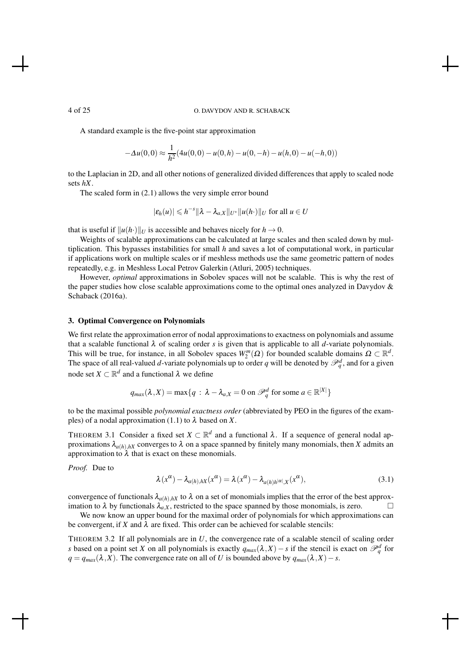A standard example is the five-point star approximation

$$
-\Delta u(0,0) \approx \frac{1}{h^2} (4u(0,0) - u(0,h) - u(0,-h) - u(h,0) - u(-h,0))
$$

to the Laplacian in 2D, and all other notions of generalized divided differences that apply to scaled node sets *hX*.

The scaled form in (2.1) allows the very simple error bound

$$
|\varepsilon_h(u)| \leqslant h^{-s} \|\lambda - \lambda_{a,X}\|_{U^*} \|u(h \cdot)\|_{U}
$$
 for all  $u \in U$ 

that is useful if  $||u(h \cdot)||_U$  is accessible and behaves nicely for  $h \to 0$ .

Weights of scalable approximations can be calculated at large scales and then scaled down by multiplication. This bypasses instabilities for small *h* and saves a lot of computational work, in particular if applications work on multiple scales or if meshless methods use the same geometric pattern of nodes repeatedly, e.g. in Meshless Local Petrov Galerkin (Atluri, 2005) techniques.

However, *optimal* approximations in Sobolev spaces will not be scalable. This is why the rest of the paper studies how close scalable approximations come to the optimal ones analyzed in Davydov & Schaback (2016a).

#### 3. Optimal Convergence on Polynomials

We first relate the approximation error of nodal approximations to exactness on polynomials and assume that a scalable functional  $\lambda$  of scaling order *s* is given that is applicable to all *d*-variate polynomials. This will be true, for instance, in all Sobolev spaces  $W_2^m(\Omega)$  for bounded scalable domains  $\Omega \subset \mathbb{R}^d$ . The space of all real-valued *d*-variate polynomials up to order *q* will be denoted by  $\mathcal{P}_q^d$ , and for a given node set  $X \subset \mathbb{R}^d$  and a functional  $\lambda$  we define

$$
q_{max}(\lambda, X) = \max\{q : \lambda - \lambda_{a,X} = 0 \text{ on } \mathcal{P}_q^d \text{ for some } a \in \mathbb{R}^{|X|}\}\
$$

to be the maximal possible *polynomial exactness order* (abbreviated by PEO in the figures of the examples) of a nodal approximation (1.1) to  $\lambda$  based on *X*.

THEOREM 3.1 Consider a fixed set  $X \subset \mathbb{R}^d$  and a functional  $\lambda$ . If a sequence of general nodal approximations  $\lambda_{a(h),hX}$  converges to  $\lambda$  on a space spanned by finitely many monomials, then *X* admits an approximation to  $\lambda$  that is exact on these monomials.

*Proof.* Due to

$$
\lambda(x^{\alpha}) - \lambda_{a(h),hX}(x^{\alpha}) = \lambda(x^{\alpha}) - \lambda_{a(h)h^{|\alpha|},X}(x^{\alpha}),
$$
\n(3.1)

convergence of functionals  $\lambda_{a(h),hX}$  to  $\lambda$  on a set of monomials implies that the error of the best approximation to  $\lambda$  by functionals  $\lambda_{a,X}$ , restricted to the space spanned by those monomials, is zero.

We now know an upper bound for the maximal order of polynomials for which approximations can be convergent, if *X* and  $\lambda$  are fixed. This order can be achieved for scalable stencils:

THEOREM 3.2 If all polynomials are in *U*, the convergence rate of a scalable stencil of scaling order *s* based on a point set *X* on all polynomials is exactly  $q_{max}(\lambda, X) - s$  if the stencil is exact on  $\mathcal{P}_q^d$  for  $q = q_{max}(\lambda, X)$ . The convergence rate on all of *U* is bounded above by  $q_{max}(\lambda, X) - s$ .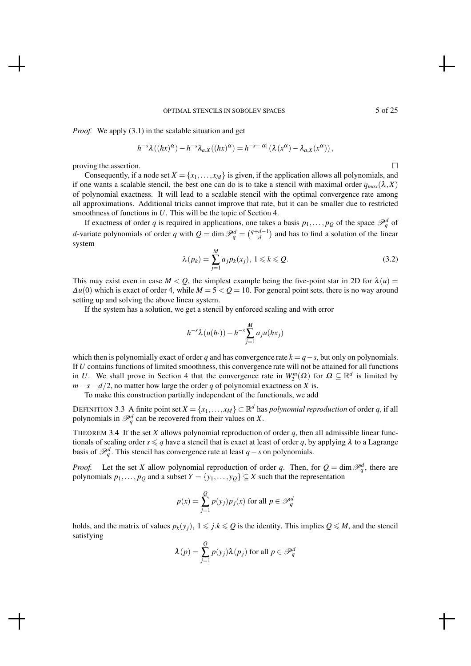#### OPTIMAL STENCILS IN SOBOLEV SPACES 5 of 25

*Proof.* We apply (3.1) in the scalable situation and get

$$
h^{-s}\lambda((hx)^{\alpha})-h^{-s}\lambda_{a,X}((hx)^{\alpha})=h^{-s+|\alpha|}(\lambda(x^{\alpha})-\lambda_{a,X}(x^{\alpha})),
$$

proving the assertion.  $\Box$ 

Consequently, if a node set  $X = \{x_1, \ldots, x_M\}$  is given, if the application allows all polynomials, and if one wants a scalable stencil, the best one can do is to take a stencil with maximal order  $q_{max}(\lambda, X)$ of polynomial exactness. It will lead to a scalable stencil with the optimal convergence rate among all approximations. Additional tricks cannot improve that rate, but it can be smaller due to restricted smoothness of functions in *U*. This will be the topic of Section 4.

If exactness of order *q* is required in applications, one takes a basis  $p_1, \ldots, p_Q$  of the space  $\mathcal{P}_q^d$  of *d*-variate polynomials of order *q* with  $Q = \dim \mathcal{P}_q^d = \binom{q+d-1}{d}$  and has to find a solution of the linear system

$$
\lambda(p_k) = \sum_{j=1}^{M} a_j p_k(x_j), \ 1 \leq k \leq Q. \tag{3.2}
$$

This may exist even in case  $M < Q$ , the simplest example being the five-point star in 2D for  $\lambda(u)$  $\Delta u(0)$  which is exact of order 4, while  $M = 5 < Q = 10$ . For general point sets, there is no way around setting up and solving the above linear system.

If the system has a solution, we get a stencil by enforced scaling and with error

$$
h^{-s}\lambda(u(h\cdot)) - h^{-s}\sum_{j=1}^M a_j u(hx_j)
$$

which then is polynomially exact of order *q* and has convergence rate  $k = q - s$ , but only on polynomials. If *U* contains functions of limited smoothness, this convergence rate will not be attained for all functions in *U*. We shall prove in Section 4 that the convergence rate in  $W_2^m(\Omega)$  for  $\Omega \subseteq \mathbb{R}^d$  is limited by  $m - s - d/2$ , no matter how large the order *q* of polynomial exactness on *X* is.

To make this construction partially independent of the functionals, we add

DEFINITION 3.3 A finite point set  $X = \{x_1, \ldots, x_M\} \subset \mathbb{R}^d$  has *polynomial reproduction* of order *q*, if all polynomials in  $\mathcal{P}_q^d$  can be recovered from their values on *X*.

THEOREM 3.4 If the set  $X$  allows polynomial reproduction of order  $q$ , then all admissible linear functionals of scaling order  $s \leq q$  have a stencil that is exact at least of order q, by applying  $\lambda$  to a Lagrange basis of  $\mathcal{P}_q^d$ . This stencil has convergence rate at least *q* − *s* on polynomials.

*Proof.* Let the set *X* allow polynomial reproduction of order *q*. Then, for  $Q = \dim \mathcal{P}_q^d$ , there are polynomials  $p_1, \ldots, p_Q$  and a subset  $Y = \{y_1, \ldots, y_Q\} \subseteq X$  such that the representation

$$
p(x) = \sum_{j=1}^{Q} p(y_j) p_j(x)
$$
 for all  $p \in \mathcal{P}_q^d$ 

holds, and the matrix of values  $p_k(y_i)$ ,  $1 \le j.k \le Q$  is the identity. This implies  $Q \le M$ , and the stencil satisfying

$$
\lambda(p) = \sum_{j=1}^{Q} p(y_j) \lambda(p_j)
$$
 for all  $p \in \mathcal{P}_q^d$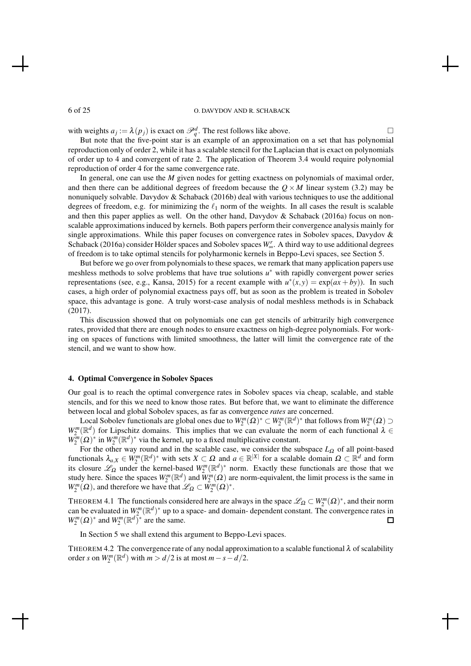with weights  $a_j := \lambda(p_j)$  is exact on  $\mathcal{P}_q^d$ . The rest follows like above.

But note that the five-point star is an example of an approximation on a set that has polynomial reproduction only of order 2, while it has a scalable stencil for the Laplacian that is exact on polynomials of order up to 4 and convergent of rate 2. The application of Theorem 3.4 would require polynomial reproduction of order 4 for the same convergence rate.

In general, one can use the *M* given nodes for getting exactness on polynomials of maximal order, and then there can be additional degrees of freedom because the  $Q \times M$  linear system (3.2) may be nonuniquely solvable. Davydov & Schaback (2016b) deal with various techniques to use the additional degrees of freedom, e.g. for minimizing the  $\ell_1$  norm of the weights. In all cases the result is scalable and then this paper applies as well. On the other hand, Davydov & Schaback (2016a) focus on nonscalable approximations induced by kernels. Both papers perform their convergence analysis mainly for single approximations. While this paper focuses on convergence rates in Sobolev spaces, Davydov & Schaback (2016a) consider Hölder spaces and Sobolev spaces *W*<sub>∞</sub>. A third way to use additional degrees of freedom is to take optimal stencils for polyharmonic kernels in Beppo-Levi spaces, see Section 5.

But before we go over from polynomials to these spaces, we remark that many application papers use meshless methods to solve problems that have true solutions  $u^*$  with rapidly convergent power series representations (see, e.g., Kansa, 2015) for a recent example with  $u^*(x, y) = \exp(ax + by)$ ). In such cases, a high order of polynomial exactness pays off, but as soon as the problem is treated in Sobolev space, this advantage is gone. A truly worst-case analysis of nodal meshless methods is in Schaback (2017).

This discussion showed that on polynomials one can get stencils of arbitrarily high convergence rates, provided that there are enough nodes to ensure exactness on high-degree polynomials. For working on spaces of functions with limited smoothness, the latter will limit the convergence rate of the stencil, and we want to show how.

#### 4. Optimal Convergence in Sobolev Spaces

Our goal is to reach the optimal convergence rates in Sobolev spaces via cheap, scalable, and stable stencils, and for this we need to know those rates. But before that, we want to eliminate the difference between local and global Sobolev spaces, as far as convergence *rates* are concerned.

Local Sobolev functionals are global ones due to  $W_2^m(\Omega)^* \subset W_2^m(\mathbb{R}^d)^*$  that follows from  $W_2^m(\Omega) \supset$  $W_2^m(\mathbb{R}^d)$  for Lipschitz domains. This implies that we can evaluate the norm of each functional  $\lambda \in$  $W_2^m(\Omega)$ <sup>\*</sup> in  $W_2^m(\mathbb{R}^d)$ <sup>\*</sup> via the kernel, up to a fixed multiplicative constant.

 $2^{(22)}$  in  $w_2$  (in ) via the kerner, up to a fixed multiplicative constant.<br>For the other way round and in the scalable case, we consider the subspace *L*<sub>Ω</sub> of all point-based functionals  $\lambda_{a,X} \in W_2^m(\mathbb{R}^d)^*$  with sets  $X \subset \Omega$  and  $a \in \mathbb{R}^{|X|}$  for a scalable domain  $\Omega \subset \mathbb{R}^d$  and form its closure  $\mathscr{L}_{\Omega}$  under the kernel-based  $W_2^m(\mathbb{R}^d)^*$  norm. Exactly these functionals are those that we study here. Since the spaces  $W_2^m(\mathbb{R}^d)$  and  $\tilde{W}_2^m(\Omega)$  are norm-equivalent, the limit process is the same in  $W_2^m(\Omega)$ , and therefore we have that  $\mathscr{L}_{\Omega} \subset \tilde{W}_2^m(\Omega)^*$ .

THEOREM 4.1 The functionals considered here are always in the space  $\mathscr{L}_{\Omega} \subset W_2^m(\Omega)^*$ , and their norm can be evaluated in  $W^m_2(\mathbb{R}^d)^*$  up to a space- and domain- dependent constant. The convergence rates in  $W_2^m(\Omega)$ <sup>\*</sup> and  $W_2^m(\mathbb{R}^d)$ <sup>\*</sup> are the same.

In Section 5 we shall extend this argument to Beppo-Levi spaces.

THEOREM 4.2 The convergence rate of any nodal approximation to a scalable functional  $\lambda$  of scalability order *s* on  $W_2^m(\mathbb{R}^d)$  with  $m > d/2$  is at most  $m - s - d/2$ .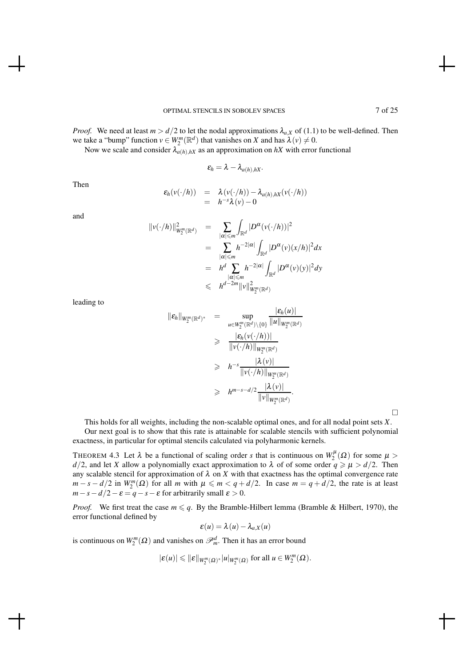*Proof.* We need at least  $m > d/2$  to let the nodal approximations  $\lambda_{a,X}$  of (1.1) to be well-defined. Then we take a "bump" function  $v \in W_2^m(\mathbb{R}^d)$  that vanishes on *X* and has  $\lambda(v) \neq 0$ .

Now we scale and consider  $\lambda_{a(h),hX}$  as an approximation on  $hX$  with error functional

$$
\varepsilon_h=\lambda-\lambda_{a(h),hX}.
$$

Then

$$
\mathcal{E}_h(v(\cdot/h)) = \lambda(v(\cdot/h)) - \lambda_{a(h),hX}(v(\cdot/h))
$$
  
=  $h^{-s}\lambda(v) - 0$ 

and

$$
\|v(\cdot/h)\|_{W_2^m(\mathbb{R}^d)}^2 = \sum_{\substack{|\alpha| \le m \\ |\alpha| \le m}} \int_{\mathbb{R}^d} |D^{\alpha}(v(\cdot/h))|^2
$$
  
\n
$$
= \sum_{\substack{|\alpha| \le m \\ |\alpha| \le m}} h^{-2|\alpha|} \int_{\mathbb{R}^d} |D^{\alpha}(v)(x/h)|^2 dx
$$
  
\n
$$
= h^d \sum_{\substack{|\alpha| \le m \\ |\alpha| \le m}} h^{-2|\alpha|} \int_{\mathbb{R}^d} |D^{\alpha}(v)(y)|^2 dy
$$
  
\n
$$
\le h^{d-2m} \|v\|_{W_2^m(\mathbb{R}^d)}^2
$$

leading to

$$
\|\varepsilon_h\|_{W_2^m(\mathbb{R}^d)^*} = \sup_{u\in W_2^m(\mathbb{R}^d)\setminus\{0\}} \frac{|\varepsilon_h(u)|}{\|u\|_{W_2^m(\mathbb{R}^d)}}
$$
  
\n
$$
\geq \frac{|\varepsilon_h(v(\cdot/h))|}{\|v(\cdot/h)\|_{W_2^m(\mathbb{R}^d)}}
$$
  
\n
$$
\geq h^{-s} \frac{|\lambda(v)|}{\|v(\cdot/h)\|_{W_2^m(\mathbb{R}^d)}}
$$
  
\n
$$
\geq h^{m-s-d/2} \frac{|\lambda(v)|}{\|v\|_{W_2^m(\mathbb{R}^d)}}.
$$

 $\Box$ 

This holds for all weights, including the non-scalable optimal ones, and for all nodal point sets *X*. Our next goal is to show that this rate is attainable for scalable stencils with sufficient polynomial

exactness, in particular for optimal stencils calculated via polyharmonic kernels.

THEOREM 4.3 Let  $\lambda$  be a functional of scaling order *s* that is continuous on  $W_2^{\mu}(\Omega)$  for some  $\mu$ *d*/2, and let *X* allow a polynomially exact approximation to  $\lambda$  of of some order  $q \ge \mu > d/2$ . Then any scalable stencil for approximation of  $\lambda$  on  $X$  with that exactness has the optimal convergence rate  $m - s - d/2$  in  $W_2^m(\Omega)$  for all *m* with  $\mu \le m < q + d/2$ . In case  $m = q + d/2$ , the rate is at least  $m - s - d/2 - \varepsilon = q - s - \varepsilon$  for arbitrarily small  $\varepsilon > 0$ .

*Proof.* We first treat the case  $m \leq q$ . By the Bramble-Hilbert lemma (Bramble & Hilbert, 1970), the error functional defined by

$$
\varepsilon(u) = \lambda(u) - \lambda_{a,X}(u)
$$

is continuous on  $W_2^m(\Omega)$  and vanishes on  $\mathcal{P}_m^d$ . Then it has an error bound

$$
|\varepsilon(u)|\leqslant \|\varepsilon\|_{W^m_2(\varOmega)^*}|u|_{W^m_2(\varOmega)} \text{ for all } u\in W^m_2(\varOmega).
$$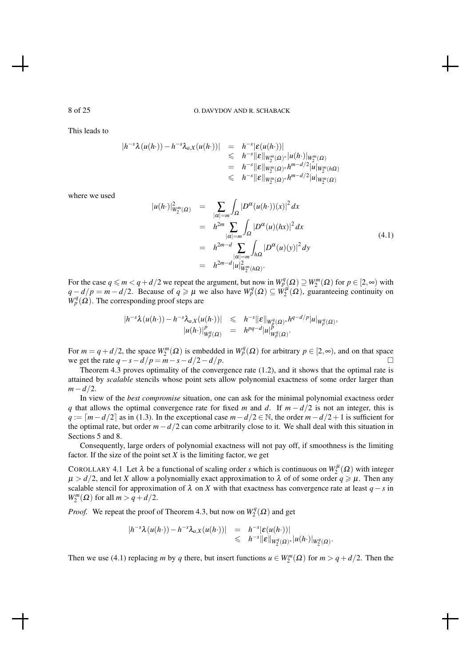This leads to

$$
|h^{-s}\lambda(u(h\cdot)) - h^{-s}\lambda_{a,X}(u(h\cdot))| = h^{-s}|\varepsilon(u(h\cdot))|
$$
  
\n
$$
\leq h^{-s}||\varepsilon||_{W_2^m(\Omega)^*}|u(h\cdot)|_{W_2^m(\Omega)}
$$
  
\n
$$
= h^{-s}||\varepsilon||_{W_2^m(\Omega)^*}h^{m-d/2}|u|_{W_2^m(\Omega)}
$$
  
\n
$$
\leq h^{-s}||\varepsilon||_{W_2^m(\Omega)^*}h^{m-d/2}|u|_{W_2^m(\Omega)}
$$

where we used

$$
|u(h \cdot)|_{W_2^m(\Omega)}^2 = \sum_{|\alpha| = m} \int_{\Omega} |D^{\alpha}(u(h \cdot))(x)|^2 dx
$$
  
\n
$$
= h^{2m} \sum_{|\alpha| = m} \int_{\Omega} |D^{\alpha}(u)(hx)|^2 dx
$$
  
\n
$$
= h^{2m-d} \sum_{|\alpha| = m} \int_{h\Omega} |D^{\alpha}(u)(y)|^2 dy
$$
  
\n
$$
= h^{2m-d} |u|_{W_2^m(h\Omega)}^2.
$$
\n(4.1)

For the case  $q \le m < q + d/2$  we repeat the argument, but now in  $W_p^q(\Omega) \supseteq W_2^m(\Omega)$  for  $p \in [2, \infty)$  with  $q - d/p = m - d/2$ . Because of  $q \ge \mu$  we also have  $W_p^q(\Omega) \subseteq W_2^{\mu}(\Omega)$ , guaranteeing continuity on  $W_p^q(\Omega)$ . The corresponding proof steps are

$$
\begin{array}{rcl}\n|h^{-s}\lambda(u(h\cdot)) - h^{-s}\lambda_{a,X}(u(h\cdot))| & \leqslant & h^{-s}\|{\pmb{\varepsilon}}\|_{W_\beta^q(\Omega)}* h^{q-d/p}|u|_{W_\beta^q(\Omega)}, \\
|u(h\cdot)|_{W_\beta^q(\Omega)}^p & = & h^{pq-d}|u|_{W_\beta^q(\Omega)}^p.\n\end{array}
$$

For  $m = q + d/2$ , the space  $W_2^m(\Omega)$  is embedded in  $W_p^q(\Omega)$  for arbitrary  $p \in [2, \infty)$ , and on that space we get the rate  $q - s - d/p = m - s - d/2 - d/p$ .

Theorem 4.3 proves optimality of the convergence rate (1.2), and it shows that the optimal rate is attained by *scalable* stencils whose point sets allow polynomial exactness of some order larger than *m*−*d*/2.

In view of the *best compromise* situation, one can ask for the minimal polynomial exactness order *q* that allows the optimal convergence rate for fixed *m* and *d*. If  $m - d/2$  is not an integer, this is *q* :=  $\lceil m - d/2 \rceil$  as in (1.3). In the exceptional case  $m - d/2 \in \mathbb{N}$ , the order  $m - d/2 + 1$  is sufficient for the optimal rate, but order *m*−*d*/2 can come arbitrarily close to it. We shall deal with this situation in Sections 5 and 8.

Consequently, large orders of polynomial exactness will not pay off, if smoothness is the limiting factor. If the size of the point set  $X$  is the limiting factor, we get

COROLLARY 4.1 Let  $\lambda$  be a functional of scaling order *s* which is continuous on  $W_2^{\mu}(\Omega)$  with integer  $\mu > d/2$ , and let *X* allow a polynomially exact approximation to  $\lambda$  of of some order  $q \geq \mu$ . Then any scalable stencil for approximation of  $\lambda$  on *X* with that exactness has convergence rate at least *q* − *s* in  $W_2^m(\Omega)$  for all  $m > q + d/2$ .

*Proof.* We repeat the proof of Theorem 4.3, but now on  $W_2^q$  $\chi_2^q(\Omega)$  and get

$$
|h^{-s}\lambda(u(h\cdot)) - h^{-s}\lambda_{a,X}(u(h\cdot))| = h^{-s}|\varepsilon(u(h\cdot))|
$$
  
\$\leq h^{-s} ||\varepsilon||\_{W\_2^q(\Omega)} \times |u(h\cdot)|\_{W\_2^q(\Omega)}}.

Then we use (4.1) replacing *m* by *q* there, but insert functions  $u \in W_2^m(\Omega)$  for  $m > q + d/2$ . Then the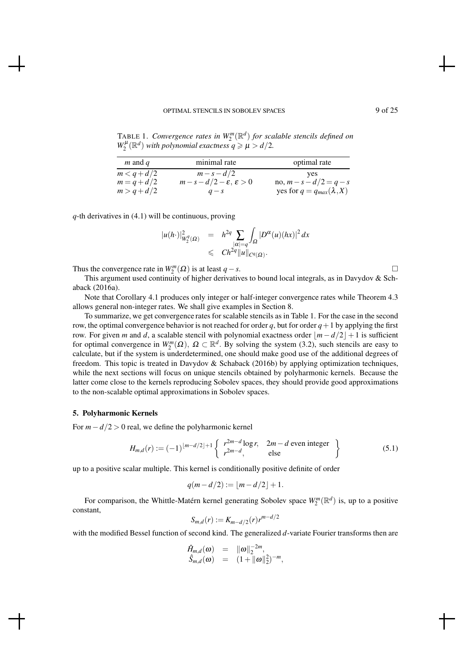# OPTIMAL STENCILS IN SOBOLEV SPACES 9 of 25

TABLE 1. Convergence rates in  $W_2^m(\mathbb{R}^d)$  for scalable stencils defined on  $W_2^{\mu}(\mathbb{R}^d)$  *with polynomial exactness*  $q \ge \mu > d/2$ *.* 

| $m$ and $q$   | minimal rate                           | optimal rate                      |
|---------------|----------------------------------------|-----------------------------------|
| $m < q + d/2$ | $m - s - d/2$                          | yes                               |
| $m = q + d/2$ | $m-s-d/2-\varepsilon, \varepsilon > 0$ | no, $m - s - d/2 = q - s$         |
| $m > q + d/2$ | $q - s$                                | yes for $q = q_{max}(\lambda, X)$ |

*q*-th derivatives in (4.1) will be continuous, proving

$$
|u(h \cdot)|^2_{W_2^q(\Omega)} = h^{2q} \sum_{\substack{|\alpha| = q}} \int_{\Omega} |D^{\alpha}(u)(hx)|^2 dx
$$
  

$$
\leq C h^{2q} ||u||_{C^q(\Omega)}.
$$

Thus the convergence rate in  $W_2^m(\Omega)$  is at least *q*−*s*.

This argument used continuity of higher derivatives to bound local integrals, as in Davydov & Schaback (2016a).

Note that Corollary 4.1 produces only integer or half-integer convergence rates while Theorem 4.3 allows general non-integer rates. We shall give examples in Section 8.

To summarize, we get convergence rates for scalable stencils as in Table 1. For the case in the second row, the optimal convergence behavior is not reached for order *q*, but for order  $q+1$  by applying the first row. For given *m* and *d*, a scalable stencil with polynomial exactness order  $|m-d/2|+1$  is sufficient for optimal convergence in  $W_2^m(\Omega)$ ,  $\Omega \subset \mathbb{R}^d$ . By solving the system (3.2), such stencils are easy to calculate, but if the system is underdetermined, one should make good use of the additional degrees of freedom. This topic is treated in Davydov & Schaback (2016b) by applying optimization techniques, while the next sections will focus on unique stencils obtained by polyharmonic kernels. Because the latter come close to the kernels reproducing Sobolev spaces, they should provide good approximations to the non-scalable optimal approximations in Sobolev spaces.

# 5. Polyharmonic Kernels

For *m*−*d*/2 > 0 real, we define the polyharmonic kernel

$$
H_{m,d}(r) := (-1)^{\lfloor m-d/2 \rfloor + 1} \left\{ \begin{array}{ll} r^{2m-d} \log r, & 2m-d \text{ even integer} \\ r^{2m-d}, & \text{else} \end{array} \right\} \tag{5.1}
$$

up to a positive scalar multiple. This kernel is conditionally positive definite of order

$$
q(m - d/2) := \lfloor m - d/2 \rfloor + 1.
$$

For comparison, the Whittle-Matérn kernel generating Sobolev space  $W_2^m(\mathbb{R}^d)$  is, up to a positive constant,

$$
S_{m,d}(r) := K_{m-d/2}(r)r^{m-d/2}
$$

with the modified Bessel function of second kind. The generalized *d*-variate Fourier transforms then are

$$
\hat{H}_{m,d}(\omega) = \|\omega\|_2^{-2m}, \hat{S}_{m,d}(\omega) = (1 + \|\omega\|_2^2)^{-m},
$$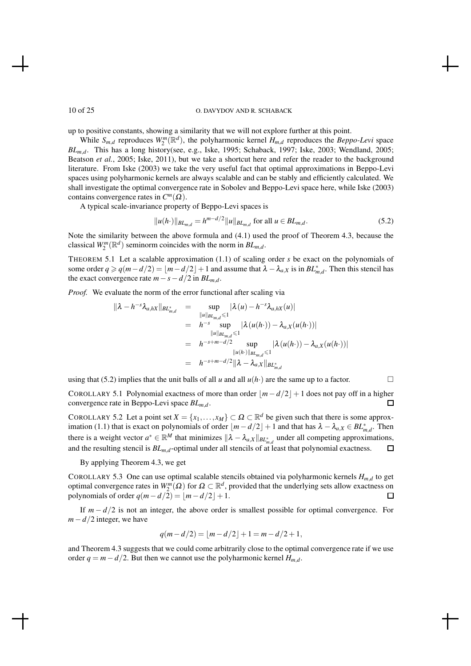up to positive constants, showing a similarity that we will not explore further at this point.

While  $S_{m,d}$  reproduces  $W_2^m(\mathbb{R}^d)$ , the polyharmonic kernel  $H_{m,d}$  reproduces the *Beppo-Levi* space *BLm*,*d*. This has a long history(see, e.g., Iske, 1995; Schaback, 1997; Iske, 2003; Wendland, 2005; Beatson *et al.*, 2005; Iske, 2011), but we take a shortcut here and refer the reader to the background literature. From Iske (2003) we take the very useful fact that optimal approximations in Beppo-Levi spaces using polyharmonic kernels are always scalable and can be stably and efficiently calculated. We shall investigate the optimal convergence rate in Sobolev and Beppo-Levi space here, while Iske (2003) contains convergence rates in  $C^m(\Omega)$ .

A typical scale-invariance property of Beppo-Levi spaces is

$$
||u(h \cdot)||_{BL_{m,d}} = h^{m-d/2}||u||_{BL_{m,d}} \text{ for all } u \in BL_{m,d}.
$$
 (5.2)

Note the similarity between the above formula and (4.1) used the proof of Theorem 4.3, because the classical  $W_2^m(\mathbb{R}^d)$  seminorm coincides with the norm in  $BL_{m,d}$ .

THEOREM 5.1 Let a scalable approximation (1.1) of scaling order *s* be exact on the polynomials of some order  $q \ge q(m-d/2) = \lfloor m-d/2 \rfloor + 1$  and assume that  $\lambda - \lambda_{a,X}$  is in  $BL_{m,d}^*$ . Then this stencil has the exact convergence rate  $m - s - d/2$  in  $BL_{m,d}$ .

*Proof.* We evaluate the norm of the error functional after scaling via

$$
\|\lambda - h^{-s}\lambda_{a,hX}\|_{BL_{m,d}^*} = \sup_{\substack{\|u\|_{BL_{m,d}} \leq 1}} |\lambda(u) - h^{-s}\lambda_{a,hX}(u)|
$$
  
\n
$$
= h^{-s} \sup_{\substack{\|u\|_{BL_{m,d}} \leq 1}} |\lambda(u(h \cdot)) - \lambda_{a,X}(u(h \cdot))|
$$
  
\n
$$
= h^{-s+m-d/2} \sup_{\substack{\|u(h \cdot)\|_{BL_{m,d}} \leq 1}} |\lambda(u(h \cdot)) - \lambda_{a,X}(u(h \cdot))|
$$
  
\n
$$
= h^{-s+m-d/2} \|\lambda - \lambda_{a,X}\|_{BL_{m,d}^*}
$$

using that (5.2) implies that the unit balls of all *u* and all  $u(h)$  are the same up to a factor.

COROLLARY 5.1 Polynomial exactness of more than order  $|m-d/2|+1$  does not pay off in a higher convergence rate in Beppo-Levi space *BLm*,*<sup>d</sup>* . □

COROLLARY 5.2 Let a point set  $X = \{x_1, \ldots, x_M\} \subset \Omega \subset \mathbb{R}^d$  be given such that there is some approximation (1.1) that is exact on polynomials of order  $\lfloor m - d/2 \rfloor + 1$  and that has  $\lambda - \lambda_{a,X} \in BL^*_{m,d}$ . Then there is a weight vector  $a^* \in \mathbb{R}^M$  that minimizes  $\|\lambda - \lambda_{a,X}\|_{BL^*_{m,d}}$  under all competing approximations, and the resulting stencil is *BLm*,*d*-optimal under all stencils of at least that polynomial exactness.  $\Box$ 

By applying Theorem 4.3, we get

COROLLARY 5.3 One can use optimal scalable stencils obtained via polyharmonic kernels  $H_{m,d}$  to get optimal convergence rates in  $W_2^m(\Omega)$  for  $\Omega \subset \mathbb{R}^d$ , provided that the underlying sets allow exactness on polynomials of order  $q(m-d/2) = |m-d/2| + 1$ . 口

If  $m - d/2$  is not an integer, the above order is smallest possible for optimal convergence. For *m*−*d*/2 integer, we have

$$
q(m-d/2) = \lfloor m-d/2 \rfloor + 1 = m-d/2+1,
$$

and Theorem 4.3 suggests that we could come arbitrarily close to the optimal convergence rate if we use order  $q = m - d/2$ . But then we cannot use the polyharmonic kernel  $H_{m,d}$ .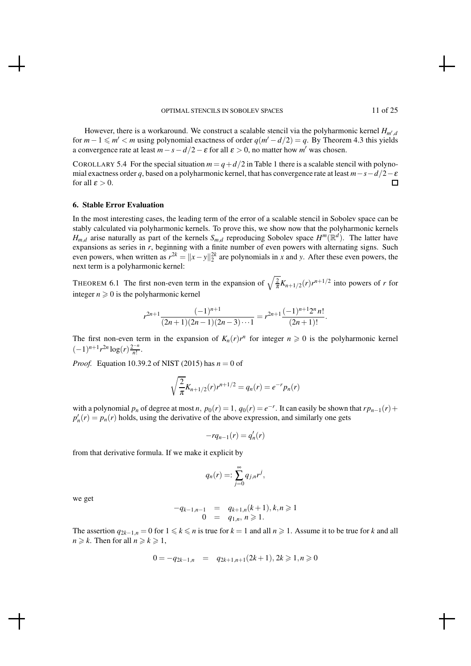However, there is a workaround. We construct a scalable stencil via the polyharmonic kernel *Hm*′ ,*d* for  $m-1 \leq m' < m$  using polynomial exactness of order  $q(m'-d/2) = q$ . By Theorem 4.3 this yields a convergence rate at least  $m - s - d/2 - \varepsilon$  for all  $\varepsilon > 0$ , no matter how  $m'$  was chosen.

COROLLARY 5.4 For the special situation  $m = q + d/2$  in Table 1 there is a scalable stencil with polynomial exactness order *q*, based on a polyharmonic kernel, that has convergence rate at least *m*−*s*−*d*/2−<sup>ε</sup> for all  $\varepsilon > 0$ .  $\Box$ 

#### 6. Stable Error Evaluation

In the most interesting cases, the leading term of the error of a scalable stencil in Sobolev space can be stably calculated via polyharmonic kernels. To prove this, we show now that the polyharmonic kernels  $H_{m,d}$  arise naturally as part of the kernels  $S_{m,d}$  reproducing Sobolev space  $H^m(\mathbb{R}^d)$ . The latter have expansions as series in *r*, beginning with a finite number of even powers with alternating signs. Such even powers, when written as  $r^{2k} = ||x - y||_2^{2k}$  are polynomials in *x* and *y*. After these even powers, the next term is a polyharmonic kernel:

THEOREM 6.1 The first non-even term in the expansion of  $\sqrt{\frac{2}{\pi}}K_{n+1/2}(r)r^{n+1/2}$  into powers of *r* for integer  $n \geq 0$  is the polyharmonic kernel

$$
r^{2n+1}\frac{(-1)^{n+1}}{(2n+1)(2n-1)(2n-3)\cdots 1} = r^{2n+1}\frac{(-1)^{n+1}2^n n!}{(2n+1)!}.
$$

The first non-even term in the expansion of  $K_n(r)r^n$  for integer  $n \geq 0$  is the polyharmonic kernel  $(-1)^{n+1} r^{2n} \log(r) \frac{2^{-n}}{n!}$  $\frac{n!}{n!}$ .

*Proof.* Equation 10.39.2 of NIST (2015) has *n* = 0 of

$$
\sqrt{\frac{2}{\pi}}K_{n+1/2}(r)r^{n+1/2} = q_n(r) = e^{-r}p_n(r)
$$

with a polynomial  $p_n$  of degree at most  $n$ ,  $p_0(r) = 1$ ,  $q_0(r) = e^{-r}$ . It can easily be shown that  $rp_{n-1}(r)$  +  $p'_n(r) = p_n(r)$  holds, using the derivative of the above expression, and similarly one gets

$$
-rq_{n-1}(r) = q'_{n}(r)
$$

from that derivative formula. If we make it explicit by

$$
q_n(r) =: \sum_{j=0}^{\infty} q_{j,n} r^j,
$$

we get

$$
-q_{k-1,n-1} = q_{k+1,n}(k+1), k, n \geq 1
$$
  
0 = q<sub>1,n</sub>, n \geq 1.

The assertion  $q_{2k-1,n} = 0$  for  $1 \leq k \leq n$  is true for  $k = 1$  and all  $n \geq 1$ . Assume it to be true for *k* and all  $n \geq k$ . Then for all  $n \geq k \geq 1$ ,

$$
0 = -q_{2k-1,n} = q_{2k+1,n+1}(2k+1), 2k \geq 1, n \geq 0
$$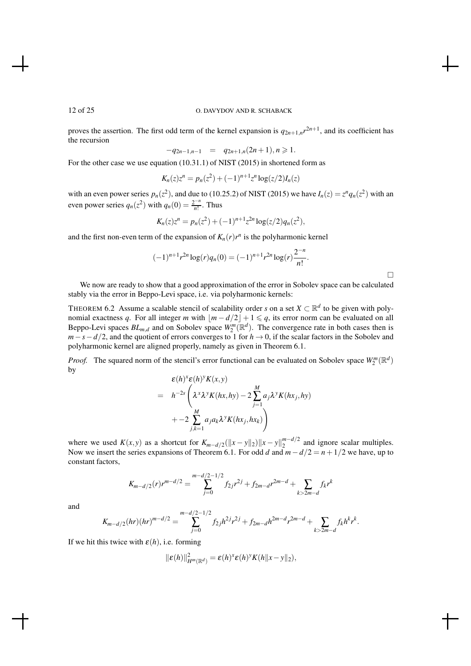proves the assertion. The first odd term of the kernel expansion is  $q_{2n+1,n}r^{2n+1}$ , and its coefficient has the recursion

$$
-q_{2n-1,n-1} = q_{2n+1,n}(2n+1), n \geq 1.
$$

For the other case we use equation (10.31.1) of NIST (2015) in shortened form as

$$
K_n(z)z^n = p_n(z^2) + (-1)^{n+1}z^n \log(z/2)I_n(z)
$$

with an even power series  $p_n(z^2)$ , and due to (10.25.2) of NIST (2015) we have  $I_n(z) = z^n q_n(z^2)$  with an even power series  $q_n(z^2)$  with  $q_n(0) = \frac{2^{-n}}{n!}$  $\frac{n!}{n!}$ . Thus

$$
K_n(z)z^n = p_n(z^2) + (-1)^{n+1}z^{2n}\log(z/2)q_n(z^2),
$$

and the first non-even term of the expansion of  $K_n(r)r^n$  is the polyharmonic kernel

$$
(-1)^{n+1}r^{2n}\log(r)q_n(0) = (-1)^{n+1}r^{2n}\log(r)\frac{2^{-n}}{n!}.
$$

 $\Box$ 

We now are ready to show that a good approximation of the error in Sobolev space can be calculated stably via the error in Beppo-Levi space, i.e. via polyharmonic kernels:

THEOREM 6.2 Assume a scalable stencil of scalability order *s* on a set  $X \subset \mathbb{R}^d$  to be given with polynomial exactness *q*. For all integer *m* with  $\lfloor m - d/2 \rfloor + 1 \leq q$ , its error norm can be evaluated on all Beppo-Levi spaces  $BL_{m,d}$  and on Sobolev space  $W_2^m(\mathbb{R}^d)$ . The convergence rate in both cases then is *m*−*s*−*d*/2, and the quotient of errors converges to 1 for *h* → 0, if the scalar factors in the Sobolev and polyharmonic kernel are aligned properly, namely as given in Theorem 6.1.

*Proof.* The squared norm of the stencil's error functional can be evaluated on Sobolev space  $W_2^m(\mathbb{R}^d)$ by

$$
\varepsilon(h)^{x}\varepsilon(h)^{y}K(x,y) = h^{-2s}\left(\lambda^{x}\lambda^{y}K(hx,hy) - 2\sum_{j=1}^{M}a_{j}\lambda^{y}K(hx_{j},hy) + -2\sum_{j,k=1}^{M}a_{j}a_{k}\lambda^{y}K(hx_{j},hx_{k})\right)
$$

where we used  $K(x, y)$  as a shortcut for  $K_{m-d/2}(\|x-y\|_2)\|x-y\|_2^{m-d/2}$  $n^{m-a/2}$  and ignore scalar multiples. Now we insert the series expansions of Theorem 6.1. For odd *d* and *m*−*d*/2 = *n*+1/2 we have, up to constant factors,

$$
K_{m-d/2}(r)r^{m-d/2} = \sum_{j=0}^{m-d/2-1/2} f_{2j}r^{2j} + f_{2m-d}r^{2m-d} + \sum_{k>2m-d} f_kr^k
$$

and

$$
K_{m-d/2}(hr)(hr)^{m-d/2} = \sum_{j=0}^{m-d/2-1/2} f_{2j}h^{2j}r^{2j} + f_{2m-d}h^{2m-d}r^{2m-d} + \sum_{k>2m-d} f_kh^kr^k.
$$

If we hit this twice with  $\varepsilon(h)$ , i.e. forming

$$
\|\boldsymbol{\varepsilon}(h)\|_{H^m(\mathbb{R}^d)}^2 = \boldsymbol{\varepsilon}(h)^{x}\boldsymbol{\varepsilon}(h)^{y}K(h\|x-y\|_2),
$$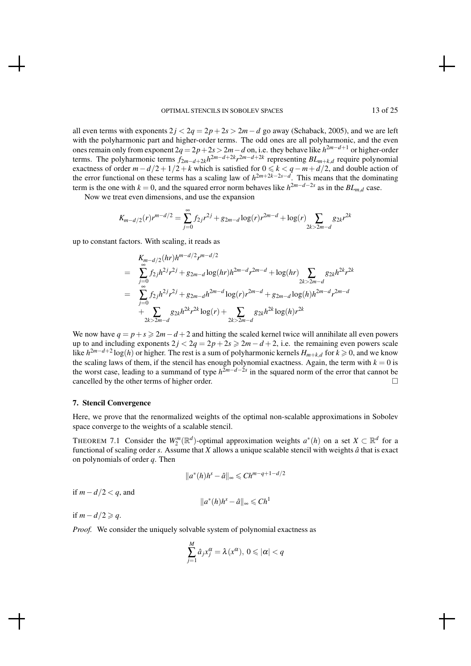all even terms with exponents  $2j < 2q = 2p + 2s > 2m - d$  go away (Schaback, 2005), and we are left with the polyharmonic part and higher-order terms. The odd ones are all polyharmonic, and the even ones remain only from exponent 2*q* = 2*p*+2*s*> 2*m*−*d* on, i.e. they behave like *h* <sup>2</sup>*m*−*d*+<sup>1</sup> or higher-order terms. The polyharmonic terms  $f_{2m-d+2k}h^{2m-d+2k}r^{2m-d+2k}$  representing  $BL_{m+k,d}$  require polynomial exactness of order  $m-d/2+1/2+k$  which is satisfied for  $0 \le k < q-m+d/2$ , and double action of the error functional on these terms has a scaling law of *h* 2*m*+2*k*−2*s*−*d* . This means that the dominating term is the one with  $k = 0$ , and the squared error norm behaves like  $h^{2m-d-2s}$  as in the  $BL_{m,d}$  case.

Now we treat even dimensions, and use the expansion

$$
K_{m-d/2}(r)r^{m-d/2} = \sum_{j=0}^{\infty} f_{2j}r^{2j} + g_{2m-d}\log(r)r^{2m-d} + \log(r)\sum_{2k>2m-d} g_{2k}r^{2k}
$$

up to constant factors. With scaling, it reads as

$$
K_{m-d/2}(hr)h^{m-d/2}r^{m-d/2}
$$
\n
$$
= \sum_{j=0}^{\infty} f_{2j}h^{2j}r^{2j} + g_{2m-d}\log(hr)h^{2m-d}r^{2m-d} + \log(hr)\sum_{2k>2m-d} g_{2k}h^{2k}r^{2k}
$$
\n
$$
= \sum_{j=0}^{\infty} f_{2j}h^{2j}r^{2j} + g_{2m-d}h^{2m-d}\log(r)r^{2m-d} + g_{2m-d}\log(h)h^{2m-d}r^{2m-d}
$$
\n
$$
+ \sum_{2k>2m-d} g_{2k}h^{2k}r^{2k}\log(r) + \sum_{2k>2m-d} g_{2k}h^{2k}\log(h)r^{2k}
$$

We now have  $q = p + s \geqslant 2m - d + 2$  and hitting the scaled kernel twice will annihilate all even powers up to and including exponents  $2j < 2q = 2p + 2s \ge 2m - d + 2$ , i.e. the remaining even powers scale like *h* 2*m*−*d*+2 log(*h*) or higher. The rest is a sum of polyharmonic kernels *Hm*+*k*,*<sup>d</sup>* for *k* > 0, and we know the scaling laws of them, if the stencil has enough polynomial exactness. Again, the term with  $k = 0$  is the worst case, leading to a summand of type *h* 2*m*−*d*−2*s* in the squared norm of the error that cannot be cancelled by the other terms of higher order.

### 7. Stencil Convergence

Here, we prove that the renormalized weights of the optimal non-scalable approximations in Sobolev space converge to the weights of a scalable stencil.

THEOREM 7.1 Consider the  $W_2^m(\mathbb{R}^d)$ -optimal approximation weights  $a^*(h)$  on a set  $X \subset \mathbb{R}^d$  for a functional of scaling order  $s$ . Assume that  $X$  allows a unique scalable stencil with weights  $\hat{a}$  that is exact on polynomials of order *q*. Then

$$
||a^*(h)h^s - \hat{a}||_{\infty} \leq C h^{m-q+1-d/2}
$$

if *m*−*d*/2 < *q*, and

$$
||a^*(h)h^s - \hat{a}||_{\infty} \leq C h^1
$$

if  $m - d/2 ≥ q$ .

*Proof.* We consider the uniquely solvable system of polynomial exactness as

$$
\sum_{j=1}^{M} \hat{a}_{j} x_{j}^{\alpha} = \lambda(x^{\alpha}), \ 0 \leqslant |\alpha| < q
$$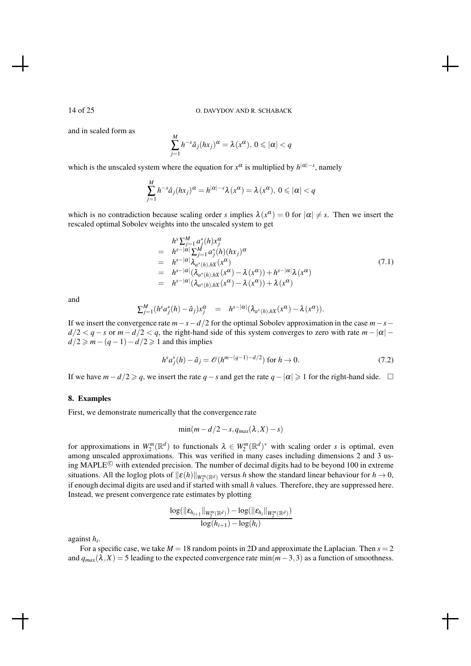and in scaled form as

$$
\sum_{j=1}^{M} h^{-s} \hat{a}_j(hx_j)^{\alpha} = \lambda(x^{\alpha}), \ 0 \leqslant |\alpha| < q
$$

which is the unscaled system where the equation for  $x^{\alpha}$  is multiplied by  $h^{|\alpha|-s}$ , namely

$$
\sum_{j=1}^{M} h^{-s} \hat{a}_j(hx_j)^{\alpha} = h^{|\alpha|-s} \lambda(x^{\alpha}) = \lambda(x^{\alpha}), \ 0 \leq |\alpha| < q
$$

which is no contradiction because scaling order *s* implies  $\lambda(x^{\alpha}) = 0$  for  $|\alpha| \neq s$ . Then we insert the rescaled optimal Sobolev weights into the unscaled system to get

$$
h^{s} \sum_{j=1}^{M} a_{j}^{*}(h)x_{j}^{\alpha}
$$
\n
$$
= h^{s-|\alpha|} \sum_{j=1}^{M} a_{j}^{*}(h)(hx_{j})^{\alpha}
$$
\n
$$
= h^{s-|\alpha|} \lambda_{a^{*}(h),hX}(x^{\alpha})
$$
\n
$$
= h^{s-|\alpha|} (\lambda_{a^{*}(h),hX}(x^{\alpha}) - \lambda(x^{\alpha})) + h^{s-|\alpha|} \lambda(x^{\alpha})
$$
\n
$$
= h^{s-|\alpha|} (\lambda_{a^{*}(h),hX}(x^{\alpha}) - \lambda(x^{\alpha})) + \lambda(x^{\alpha})
$$
\n(7.1)

and

$$
\sum_{j=1}^M (h^s a_j^*(h) - \hat{a}_j) x_j^{\alpha} = h^{s-|\alpha|} (\lambda_{a^*(h),hX}(x^{\alpha}) - \lambda(x^{\alpha})).
$$

If we insert the convergence rate *m*−*s*−*d*/2 for the optimal Sobolev approximation in the case *m*−*s*−  $d/2 < q - s$  or  $m - d/2 < q$ , the right-hand side of this system converges to zero with rate  $m - |\alpha|$  $d/2 \geq m - (q - 1) - d/2 \geq 1$  and this implies

$$
h^s a_j^*(h) - \hat{a}_j = \mathcal{O}(h^{m-(q-1)-d/2}) \text{ for } h \to 0.
$$
 (7.2)

If we have  $m-d/2 \geqslant q$ , we insert the rate  $q-s$  and get the rate  $q-|\alpha| \geqslant 1$  for the right-hand side. □

#### 8. Examples

First, we demonstrate numerically that the convergence rate

$$
\min(m - d/2 - s, q_{max}(\lambda, X) - s)
$$

for approximations in  $W_2^m(\mathbb{R}^d)$  to functionals  $\lambda \in W_2^m(\mathbb{R}^d)^*$  with scaling order *s* is optimal, even among unscaled approximations. This was verified in many cases including dimensions 2 and 3 using MAPLE<sup> $\odot$ </sup> with extended precision. The number of decimal digits had to be beyond 100 in extreme situations. All the loglog plots of  $\|\varepsilon(h)\|_{W_2^m(\mathbb{R}^d)}$  versus *h* show the standard linear behaviour for  $h \to 0$ , if enough decimal digits are used and if started with small *h* values. Therefore, they are suppressed here. Instead, we present convergence rate estimates by plotting

$$
\frac{\log(\|\boldsymbol{\varepsilon}_{h_{i+1}}\|_{W^m_2(\mathbb{R}^d)})-\log(\|\boldsymbol{\varepsilon}_{h_i}\|_{W^m_2(\mathbb{R}^d)})}{\log(h_{i+1})-\log(h_i)}
$$

against *h<sup>i</sup>* .

For a specific case, we take  $M = 18$  random points in 2D and approximate the Laplacian. Then  $s = 2$ and  $q_{max}(\lambda, X) = 5$  leading to the expected convergence rate min $(m-3,3)$  as a function of smoothness.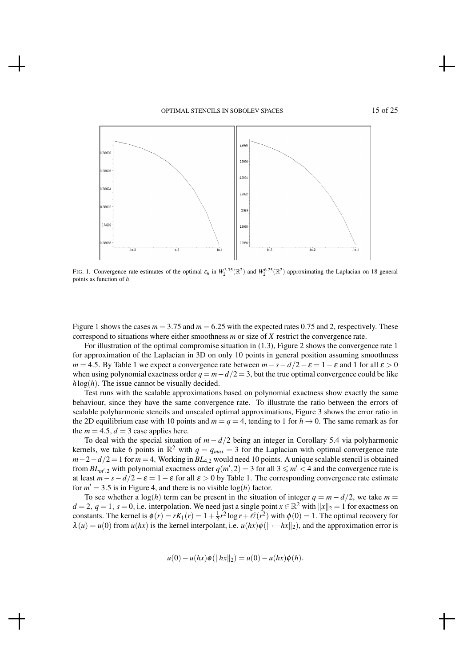

FIG. 1. Convergence rate estimates of the optimal  $\varepsilon_h$  in  $W_2^{3.75}(\mathbb{R}^2)$  and  $W_2^{6.25}(\mathbb{R}^2)$  approximating the Laplacian on 18 general points as function of *h*

Figure 1 shows the cases  $m = 3.75$  and  $m = 6.25$  with the expected rates 0.75 and 2, respectively. These correspond to situations where either smoothness *m* or size of *X* restrict the convergence rate.

For illustration of the optimal compromise situation in (1.3), Figure 2 shows the convergence rate 1 for approximation of the Laplacian in 3D on only 10 points in general position assuming smoothness *m* = 4.5. By Table 1 we expect a convergence rate between  $m - s - d/2 - \varepsilon = 1 - \varepsilon$  and 1 for all  $\varepsilon > 0$ when using polynomial exactness order  $q = m - d/2 = 3$ , but the true optimal convergence could be like  $h \log(h)$ . The issue cannot be visually decided.

Test runs with the scalable approximations based on polynomial exactness show exactly the same behaviour, since they have the same convergence rate. To illustrate the ratio between the errors of scalable polyharmonic stencils and unscaled optimal approximations, Figure 3 shows the error ratio in the 2D equilibrium case with 10 points and  $m = q = 4$ , tending to 1 for  $h \to 0$ . The same remark as for the  $m = 4.5$ ,  $d = 3$  case applies here.

To deal with the special situation of  $m - d/2$  being an integer in Corollary 5.4 via polyharmonic kernels, we take 6 points in  $\mathbb{R}^2$  with  $q = q_{max} = 3$  for the Laplacian with optimal convergence rate *m*−2−*d*/2 = 1 for *m* = 4. Working in *BL*<sub>4,2</sub> would need 10 points. A unique scalable stencil is obtained from  $BL_{m',2}$  with polynomial exactness order  $q(m',2) = 3$  for all  $3 \leq m' < 4$  and the convergence rate is at least  $m - s - d/2 - \varepsilon = 1 - \varepsilon$  for all  $\varepsilon > 0$  by Table 1. The corresponding convergence rate estimate for  $m' = 3.5$  is in Figure 4, and there is no visible  $log(h)$  factor.

To see whether a log(*h*) term can be present in the situation of integer  $q = m - d/2$ , we take  $m =$  $d = 2$ ,  $q = 1$ ,  $s = 0$ , i.e. interpolation. We need just a single point  $x \in \mathbb{R}^2$  with  $||x||_2 = 1$  for exactness on constants. The kernel is  $\phi(r) = rK_1(r) = 1 + \frac{1}{2}r^2 \log r + \mathcal{O}(r^2)$  with  $\phi(0) = 1$ . The optimal recovery for  $\lambda(u) = u(0)$  from  $u(hx)$  is the kernel interpolant, i.e.  $u(hx)\phi(||-hx||_2)$ , and the approximation error is

 $u(0) - u(hx)\phi(||hx||_2) = u(0) - u(hx)\phi(h).$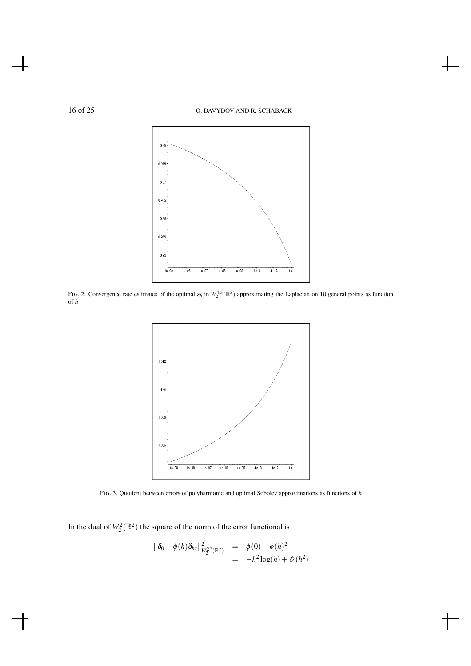

FIG. 2. Convergence rate estimates of the optimal  $\varepsilon_h$  in  $W_2^{4.5}(\mathbb{R}^3)$  approximating the Laplacian on 10 general points as function of *h*



FIG. 3. Quotient between errors of polyharmonic and optimal Sobolev approximations as functions of *h*

In the dual of  $W_2^2(\mathbb{R}^2)$  the square of the norm of the error functional is

$$
\begin{array}{rcl}\n\|\delta_0 - \phi(h) \delta_{hx}\|_{W_2^{2^*}(\mathbb{R}^2)}^2 & = & \phi(0) - \phi(h)^2 \\
& = & -h^2 \log(h) + \mathcal{O}(h^2)\n\end{array}
$$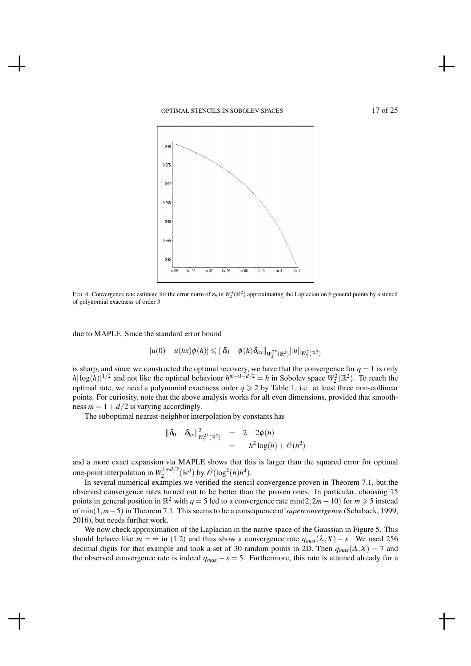## OPTIMAL STENCILS IN SOBOLEV SPACES 17 of 25



FIG. 4. Convergence rate estimate for the error norm of  $\varepsilon_h$  in  $W_2^4(\mathbb{R}^2)$  approximating the Laplacian on 6 general points by a stencil of polynomial exactness of order 3

due to MAPLE. Since the standard error bound

$$
|u(0) - u(hx)\phi(h)| \leq ||\delta_0 - \phi(h)\delta_{hx}||_{W_2^{2^*}(\mathbb{R}^2)}||u||_{W_2^2(\mathbb{R}^2)}
$$

is sharp, and since we constructed the optimal recovery, we have that the convergence for  $q = 1$  is only  $h|\log(h)|^{1/2}$  and not like the optimal behaviour  $h^{m-0-d/2} = h$  in Sobolev space  $W_2^2(\mathbb{R}^2)$ . To reach the optimal rate, we need a polynomial exactness order  $q \geq 2$  by Table 1, i.e. at least three non-collinear points. For curiosity, note that the above analysis works for all even dimensions, provided that smoothness  $m = 1 + d/2$  is varying accordingly.

The suboptimal nearest-neighbor interpolation by constants has

$$
\begin{array}{rcl}\n\|\delta_0 - \delta_{hx}\|_{W_2^{2^*}(\mathbb{R}^2)}^2 & = & 2 - 2\phi(h) \\
& = & -h^2 \log(h) + \mathcal{O}(h^2)\n\end{array}
$$

and a more exact expansion via MAPLE shows that this is larger than the squared error for optimal one-point interpolation in  $W_2^{1+d/2}$  $\mathcal{O}(log^2(h)h^4)$ .

In several numerical examples we verified the stencil convergence proven in Theorem 7.1, but the observed convergence rates turned out to be better than the proven ones. In particular, choosing 15 points in general position in  $\mathbb{R}^2$  with  $q = 5$  led to a convergence rate min(2,2*m* − 10) for  $m \ge 5$  instead of min(1,*m*−5)in Theorem 7.1. This seems to be a consequence of *superconvergence* (Schaback, 1999, 2016), but needs further work.

We now check approximation of the Laplacian in the native space of the Gaussian in Figure 5. This should behave like  $m = \infty$  in (1.2) and thus show a convergence rate  $q_{max}(\lambda, X) - s$ . We used 256 decimal digits for that example and took a set of 30 random points in 2D. Then  $q_{max}(\Delta, X) = 7$  and the observed convergence rate is indeed  $q_{max} - s = 5$ . Furthermore, this rate is attained already for a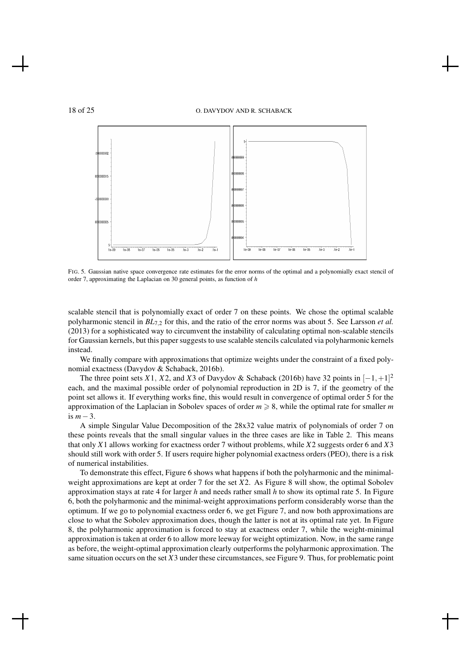

FIG. 5. Gaussian native space convergence rate estimates for the error norms of the optimal and a polynomially exact stencil of order 7, approximating the Laplacian on 30 general points, as function of *h*

scalable stencil that is polynomially exact of order 7 on these points. We chose the optimal scalable polyharmonic stencil in *BL*7,<sup>2</sup> for this, and the ratio of the error norms was about 5. See Larsson *et al.* (2013) for a sophisticated way to circumvent the instability of calculating optimal non-scalable stencils for Gaussian kernels, but this paper suggests to use scalable stencils calculated via polyharmonic kernels instead.

We finally compare with approximations that optimize weights under the constraint of a fixed polynomial exactness (Davydov & Schaback, 2016b).

The three point sets *X*1, *X*2, and *X*3 of Davydov & Schaback (2016b) have 32 points in  $[-1, +1]^2$ each, and the maximal possible order of polynomial reproduction in 2D is 7, if the geometry of the point set allows it. If everything works fine, this would result in convergence of optimal order 5 for the approximation of the Laplacian in Sobolev spaces of order  $m \geq 8$ , while the optimal rate for smaller *m* is *m*−3.

A simple Singular Value Decomposition of the 28x32 value matrix of polynomials of order 7 on these points reveals that the small singular values in the three cases are like in Table 2. This means that only *X*1 allows working for exactness order 7 without problems, while *X*2 suggests order 6 and *X*3 should still work with order 5. If users require higher polynomial exactness orders (PEO), there is a risk of numerical instabilities.

To demonstrate this effect, Figure 6 shows what happens if both the polyharmonic and the minimalweight approximations are kept at order 7 for the set *X*2. As Figure 8 will show, the optimal Sobolev approximation stays at rate 4 for larger *h* and needs rather small *h* to show its optimal rate 5. In Figure 6, both the polyharmonic and the minimal-weight approximations perform considerably worse than the optimum. If we go to polynomial exactness order 6, we get Figure 7, and now both approximations are close to what the Sobolev approximation does, though the latter is not at its optimal rate yet. In Figure 8, the polyharmonic approximation is forced to stay at exactness order 7, while the weight-minimal approximation is taken at order 6 to allow more leeway for weight optimization. Now, in the same range as before, the weight-optimal approximation clearly outperforms the polyharmonic approximation. The same situation occurs on the set *X*3 under these circumstances, see Figure 9. Thus, for problematic point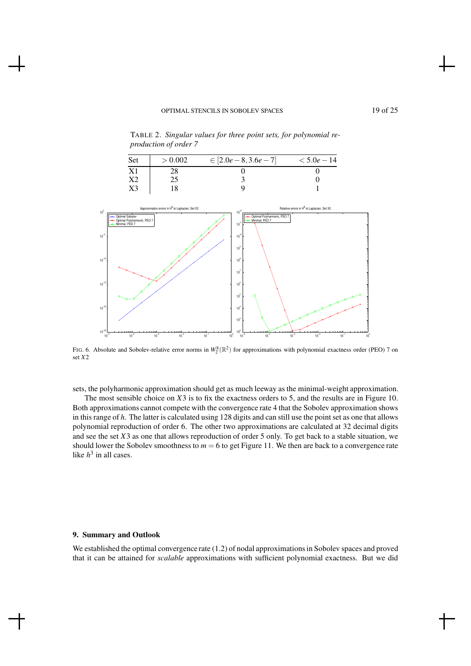TABLE 2. *Singular values for three point sets, for polynomial reproduction of order 7*



FIG. 6. Absolute and Sobolev-relative error norms in  $W_2^8(\mathbb{R}^2)$  for approximations with polynomial exactness order (PEO) 7 on set *X*2

sets, the polyharmonic approximation should get as much leeway as the minimal-weight approximation.

The most sensible choice on *X*3 is to fix the exactness orders to 5, and the results are in Figure 10. Both approximations cannot compete with the convergence rate 4 that the Sobolev approximation shows in this range of *h*. The latter is calculated using 128 digits and can still use the point set as one that allows polynomial reproduction of order 6. The other two approximations are calculated at 32 decimal digits and see the set *X*3 as one that allows reproduction of order 5 only. To get back to a stable situation, we should lower the Sobolev smoothness to  $m = 6$  to get Figure 11. We then are back to a convergence rate like  $h^3$  in all cases.

# 9. Summary and Outlook

We established the optimal convergence rate (1.2) of nodal approximations in Sobolev spaces and proved that it can be attained for *scalable* approximations with sufficient polynomial exactness. But we did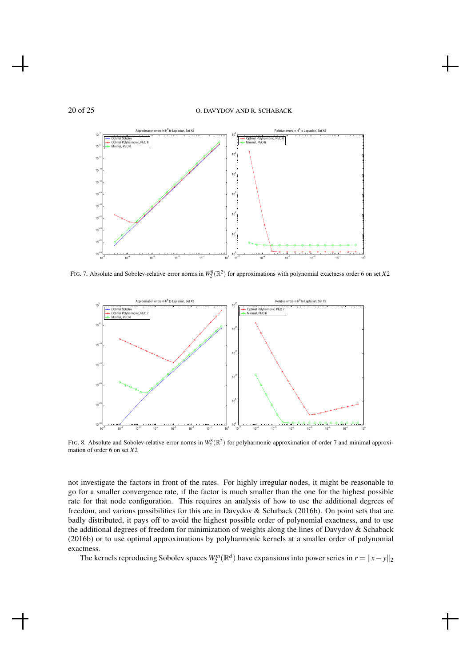

FIG. 7. Absolute and Sobolev-relative error norms in  $W_2^8(\mathbb{R}^2)$  for approximations with polynomial exactness order 6 on set *X*2



FIG. 8. Absolute and Sobolev-relative error norms in  $W_2^8(\mathbb{R}^2)$  for polyharmonic approximation of order 7 and minimal approximation of order 6 on set *X*2

not investigate the factors in front of the rates. For highly irregular nodes, it might be reasonable to go for a smaller convergence rate, if the factor is much smaller than the one for the highest possible rate for that node configuration. This requires an analysis of how to use the additional degrees of freedom, and various possibilities for this are in Davydov & Schaback (2016b). On point sets that are badly distributed, it pays off to avoid the highest possible order of polynomial exactness, and to use the additional degrees of freedom for minimization of weights along the lines of Davydov & Schaback (2016b) or to use optimal approximations by polyharmonic kernels at a smaller order of polynomial exactness.

The kernels reproducing Sobolev spaces  $W_2^m(\mathbb{R}^d)$  have expansions into power series in  $r = ||x - y||_2$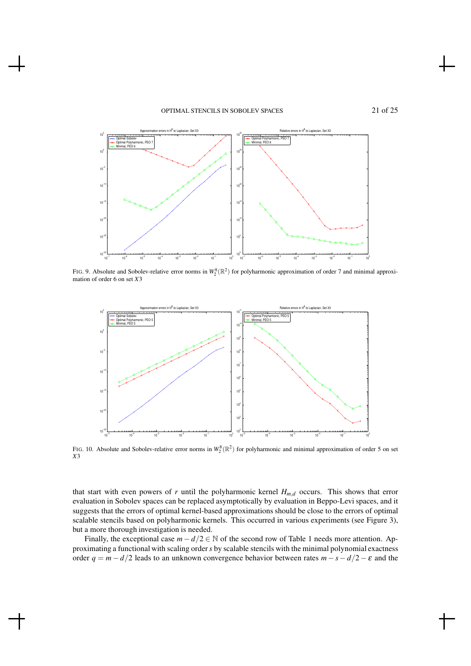# OPTIMAL STENCILS IN SOBOLEV SPACES 21 of 25



FIG. 9. Absolute and Sobolev-relative error norms in  $W_2^8(\mathbb{R}^2)$  for polyharmonic approximation of order 7 and minimal approximation of order 6 on set *X*3



FIG. 10. Absolute and Sobolev-relative error norms in  $W_2^8(\mathbb{R}^2)$  for polyharmonic and minimal approximation of order 5 on set *X*3

that start with even powers of *r* until the polyharmonic kernel *Hm*,*<sup>d</sup>* occurs. This shows that error evaluation in Sobolev spaces can be replaced asymptotically by evaluation in Beppo-Levi spaces, and it suggests that the errors of optimal kernel-based approximations should be close to the errors of optimal scalable stencils based on polyharmonic kernels. This occurred in various experiments (see Figure 3), but a more thorough investigation is needed.

Finally, the exceptional case  $m - d/2 \in \mathbb{N}$  of the second row of Table 1 needs more attention. Approximating a functional with scaling order*s* by scalable stencils with the minimal polynomial exactness order  $q = m - d/2$  leads to an unknown convergence behavior between rates  $m - s - d/2 - \varepsilon$  and the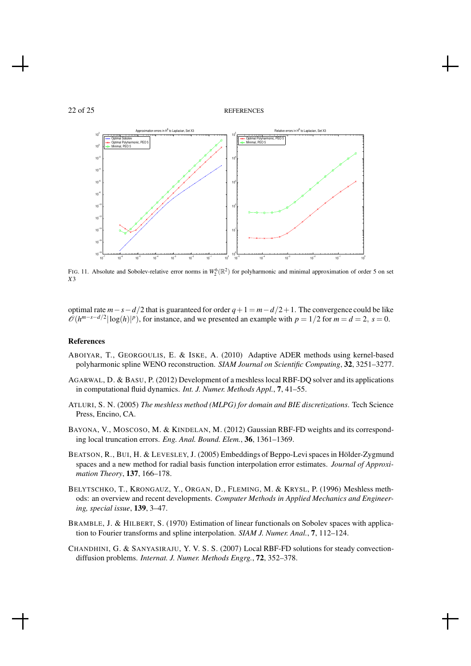



FIG. 11. Absolute and Sobolev-relative error norms in  $W_2^6(\mathbb{R}^2)$  for polyharmonic and minimal approximation of order 5 on set *X*3

optimal rate  $m - s - d/2$  that is guaranteed for order  $q + 1 = m - d/2 + 1$ . The convergence could be like  $\mathcal{O}(h^{m-s-d/2}|\log(h)|^p)$ , for instance, and we presented an example with  $p = 1/2$  for  $m = d = 2$ ,  $s = 0$ .

#### References

- ABOIYAR, T., GEORGOULIS, E. & ISKE, A. (2010) Adaptive ADER methods using kernel-based polyharmonic spline WENO reconstruction. *SIAM Journal on Scientific Computing*, 32, 3251–3277.
- AGARWAL, D. & BASU, P. (2012) Development of a meshless local RBF-DQ solver and its applications in computational fluid dynamics. *Int. J. Numer. Methods Appl.*, 7, 41–55.
- ATLURI, S. N. (2005) *The meshless method (MLPG) for domain and BIE discretizations*. Tech Science Press, Encino, CA.
- BAYONA, V., MOSCOSO, M. & KINDELAN, M. (2012) Gaussian RBF-FD weights and its corresponding local truncation errors. *Eng. Anal. Bound. Elem.*, 36, 1361–1369.
- BEATSON, R., BUI, H. & LEVESLEY, J. (2005) Embeddings of Beppo-Levi spaces in Hölder-Zygmund spaces and a new method for radial basis function interpolation error estimates. *Journal of Approximation Theory*, 137, 166–178.
- BELYTSCHKO, T., KRONGAUZ, Y., ORGAN, D., FLEMING, M. & KRYSL, P. (1996) Meshless methods: an overview and recent developments. *Computer Methods in Applied Mechanics and Engineering, special issue*, 139, 3–47.
- BRAMBLE, J. & HILBERT, S. (1970) Estimation of linear functionals on Sobolev spaces with application to Fourier transforms and spline interpolation. *SIAM J. Numer. Anal.*, 7, 112–124.
- CHANDHINI, G. & SANYASIRAJU, Y. V. S. S. (2007) Local RBF-FD solutions for steady convectiondiffusion problems. *Internat. J. Numer. Methods Engrg.*, 72, 352–378.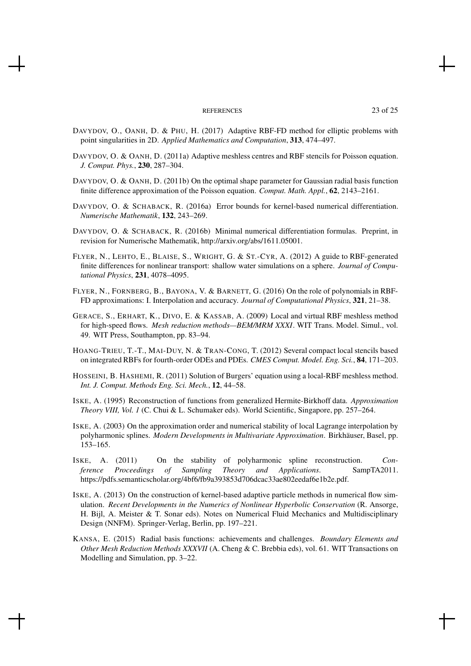#### REFERENCES 23 of 25

- DAVYDOV, O., OANH, D. & PHU, H. (2017) Adaptive RBF-FD method for elliptic problems with point singularities in 2D. *Applied Mathematics and Computation*, 313, 474–497.
- DAVYDOV, O. & OANH, D. (2011a) Adaptive meshless centres and RBF stencils for Poisson equation. *J. Comput. Phys.*, 230, 287–304.
- DAVYDOV, O. & OANH, D. (2011b) On the optimal shape parameter for Gaussian radial basis function finite difference approximation of the Poisson equation. *Comput. Math. Appl.*, 62, 2143–2161.
- DAVYDOV, O. & SCHABACK, R. (2016a) Error bounds for kernel-based numerical differentiation. *Numerische Mathematik*, 132, 243–269.
- DAVYDOV, O. & SCHABACK, R. (2016b) Minimal numerical differentiation formulas. Preprint, in revision for Numerische Mathematik, http://arxiv.org/abs/1611.05001.
- FLYER, N., LEHTO, E., BLAISE, S., WRIGHT, G. & ST.-CYR, A. (2012) A guide to RBF-generated finite differences for nonlinear transport: shallow water simulations on a sphere. *Journal of Computational Physics*, 231, 4078–4095.
- FLYER, N., FORNBERG, B., BAYONA, V. & BARNETT, G. (2016) On the role of polynomials in RBF-FD approximations: I. Interpolation and accuracy. *Journal of Computational Physics*, 321, 21–38.
- GERACE, S., ERHART, K., DIVO, E. & KASSAB, A. (2009) Local and virtual RBF meshless method for high-speed flows. *Mesh reduction methods—BEM/MRM XXXI*. WIT Trans. Model. Simul., vol. 49. WIT Press, Southampton, pp. 83–94.
- HOANG-TRIEU, T.-T., MAI-DUY, N. & TRAN-CONG, T. (2012) Several compact local stencils based on integrated RBFs for fourth-order ODEs and PDEs. *CMES Comput. Model. Eng. Sci.*, 84, 171–203.
- HOSSEINI, B. HASHEMI, R. (2011) Solution of Burgers' equation using a local-RBF meshless method. *Int. J. Comput. Methods Eng. Sci. Mech.*, 12, 44–58.
- ISKE, A. (1995) Reconstruction of functions from generalized Hermite-Birkhoff data. *Approximation Theory VIII, Vol. 1* (C. Chui & L. Schumaker eds). World Scientific, Singapore, pp. 257–264.
- ISKE, A. (2003) On the approximation order and numerical stability of local Lagrange interpolation by polyharmonic splines. *Modern Developments in Multivariate Approximation*. Birkhäuser, Basel, pp. 153–165.
- ISKE, A. (2011) On the stability of polyharmonic spline reconstruction. *Conference Proceedings of Sampling Theory and Applications*. SampTA2011. https://pdfs.semanticscholar.org/4bf6/fb9a393853d706dcac33ae802eedaf6e1b2e.pdf.
- ISKE, A. (2013) On the construction of kernel-based adaptive particle methods in numerical flow simulation. *Recent Developments in the Numerics of Nonlinear Hyperbolic Conservation* (R. Ansorge, H. Bijl, A. Meister & T. Sonar eds). Notes on Numerical Fluid Mechanics and Multidisciplinary Design (NNFM). Springer-Verlag, Berlin, pp. 197–221.
- KANSA, E. (2015) Radial basis functions: achievements and challenges. *Boundary Elements and Other Mesh Reduction Methods XXXVII* (A. Cheng & C. Brebbia eds), vol. 61. WIT Transactions on Modelling and Simulation, pp. 3–22.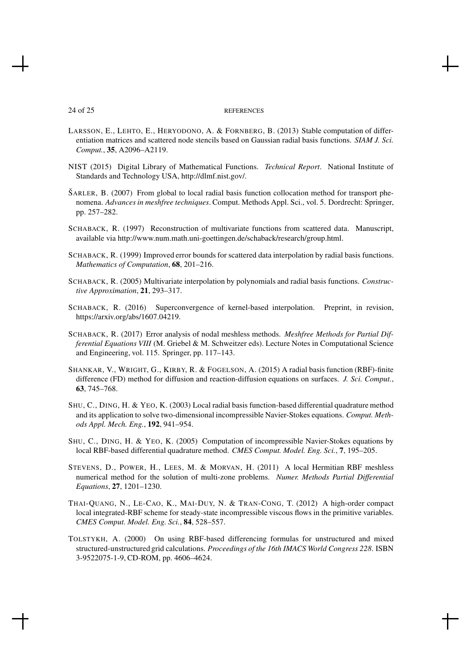#### 24 of 25 REFERENCES

- LARSSON, E., LEHTO, E., HERYODONO, A. & FORNBERG, B. (2013) Stable computation of differentiation matrices and scattered node stencils based on Gaussian radial basis functions. *SIAM J. Sci. Comput.*, 35, A2096–A2119.
- NIST (2015) Digital Library of Mathematical Functions. *Technical Report*. National Institute of Standards and Technology USA, http://dlmf.nist.gov/.
- $\text{SARLER}, \text{B. (2007)}$  From global to local radial basis function collocation method for transport phenomena. *Advances in meshfree techniques*. Comput. Methods Appl. Sci., vol. 5. Dordrecht: Springer, pp. 257–282.
- SCHABACK, R. (1997) Reconstruction of multivariate functions from scattered data. Manuscript, available via http://www.num.math.uni-goettingen.de/schaback/research/group.html.
- SCHABACK, R. (1999) Improved error bounds for scattered data interpolation by radial basis functions. *Mathematics of Computation*, 68, 201–216.
- SCHABACK, R. (2005) Multivariate interpolation by polynomials and radial basis functions. *Constructive Approximation*, 21, 293–317.
- SCHABACK, R. (2016) Superconvergence of kernel-based interpolation. Preprint, in revision, https://arxiv.org/abs/1607.04219.
- SCHABACK, R. (2017) Error analysis of nodal meshless methods. *Meshfree Methods for Partial Differential Equations VIII* (M. Griebel & M. Schweitzer eds). Lecture Notes in Computational Science and Engineering, vol. 115. Springer, pp. 117–143.
- SHANKAR, V., WRIGHT, G., KIRBY, R. & FOGELSON, A. (2015) A radial basis function (RBF)-finite difference (FD) method for diffusion and reaction-diffusion equations on surfaces. *J. Sci. Comput.*, 63, 745–768.
- SHU, C., DING, H. & YEO, K. (2003) Local radial basis function-based differential quadrature method and its application to solve two-dimensional incompressible Navier-Stokes equations. *Comput. Methods Appl. Mech. Eng.*, 192, 941–954.
- SHU, C., DING, H. & YEO, K. (2005) Computation of incompressible Navier-Stokes equations by local RBF-based differential quadrature method. *CMES Comput. Model. Eng. Sci.*, 7, 195–205.
- STEVENS, D., POWER, H., LEES, M. & MORVAN, H. (2011) A local Hermitian RBF meshless numerical method for the solution of multi-zone problems. *Numer. Methods Partial Differential Equations*, 27, 1201–1230.
- THAI-QUANG, N., LE-CAO, K., MAI-DUY, N. & TRAN-CONG, T. (2012) A high-order compact local integrated-RBF scheme for steady-state incompressible viscous flows in the primitive variables. *CMES Comput. Model. Eng. Sci.*, 84, 528–557.
- TOLSTYKH, A. (2000) On using RBF-based differencing formulas for unstructured and mixed structured-unstructured grid calculations. *Proceedings of the 16th IMACS World Congress 228*. ISBN 3-9522075-1-9, CD-ROM, pp. 4606–4624.